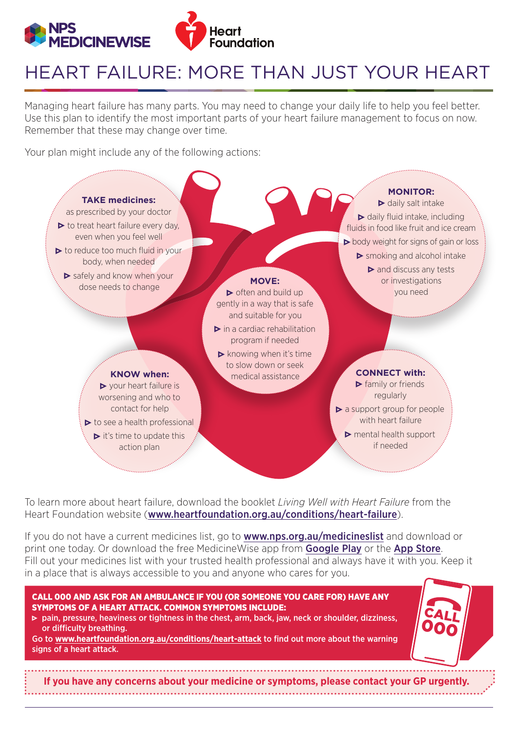

## HEART FAILURE: MORE THAN JUST YOUR HEART

Managing heart failure has many parts. You may need to change your daily life to help you feel better. Use this plan to identify the most important parts of your heart failure management to focus on now. Remember that these may change over time.

Your plan might include any of the following actions:



To learn more about heart failure, download the booklet *Living Well with Heart Failure* from the Heart Foundation website ([www.heartfoundation.org.au/conditions/heart-failure](http://www.heartfoundation.org.au/conditions/heart-failure)).

If you do not have a current medicines list, go to **[www.nps.org.au/medicineslist](http://www.nps.org.au/medicineslist)** and download or print one today. Or download the free Medicine Wise app from **[Google Play](https://play.google.com/store/apps/details?id=au.org.nps.medicinelistplus)** or the [App Store](https://itunes.apple.com/au/app/medicinelist/id777483494?mt=8). Fill out your medicines list with your trusted health professional and always have it with you. Keep it in a place that is always accessible to you and anyone who cares for you.

## CALL 000 AND ASK FOR AN AMBULANCE IF YOU (OR SOMEONE YOU CARE FOR) HAVE ANY SYMPTOMS OF A HEART ATTACK. COMMON SYMPTOMS INCLUDE:

• pain, pressure, heaviness or tightness in the chest, arm, back, jaw, neck or shoulder, dizziness, or difficulty breathing.

Go to **[www.heartfoundation.org.au/conditions/heart-attack](http://www.heartfoundation.org.au/conditions/heart-attack)** to find out more about the warning signs of a heart attack.

**If you have any concerns about your medicine or symptoms, please contact your GP urgently.**

000 CALL